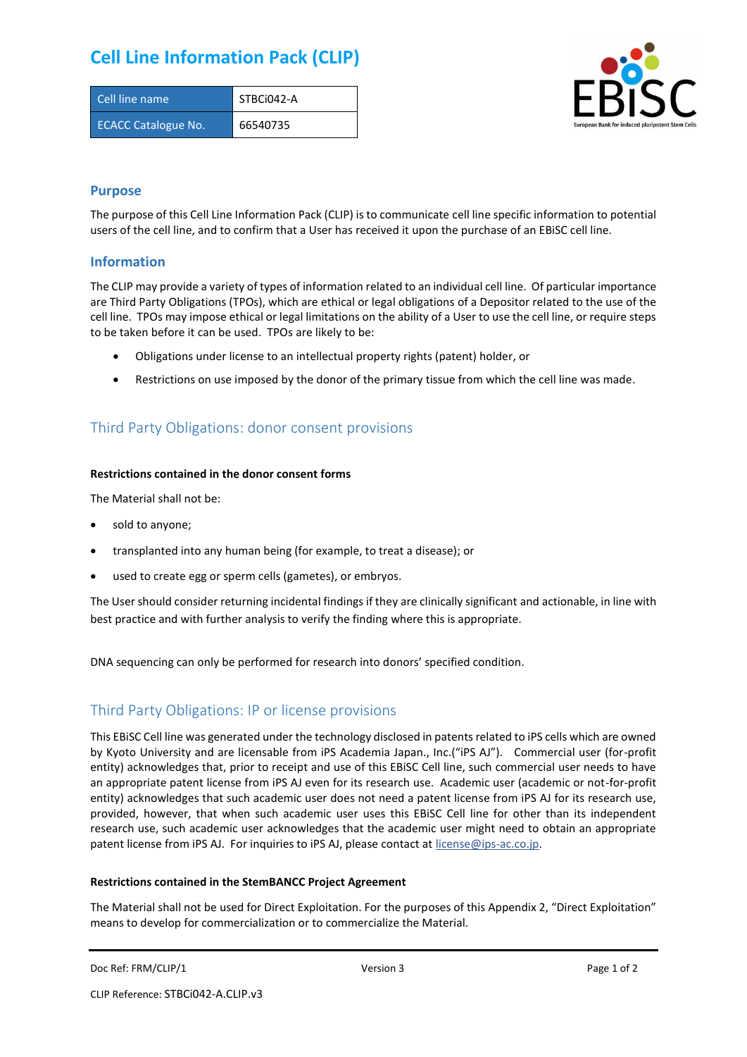# **Cell Line Information Pack (CLIP)**

| Cell line name             | STBCi042-A |
|----------------------------|------------|
| <b>ECACC Catalogue No.</b> | 66540735   |



### **Purpose**

The purpose of this Cell Line Information Pack (CLIP) is to communicate cell line specific information to potential users of the cell line, and to confirm that a User has received it upon the purchase of an EBiSC cell line.

### **Information**

The CLIP may provide a variety of types of information related to an individual cell line. Of particular importance are Third Party Obligations (TPOs), which are ethical or legal obligations of a Depositor related to the use of the cell line. TPOs may impose ethical or legal limitations on the ability of a User to use the cell line, or require steps to be taken before it can be used. TPOs are likely to be:

- Obligations under license to an intellectual property rights (patent) holder, or
- Restrictions on use imposed by the donor of the primary tissue from which the cell line was made.

# Third Party Obligations: donor consent provisions

#### **Restrictions contained in the donor consent forms**

The Material shall not be:

- sold to anyone;
- transplanted into any human being (for example, to treat a disease); or
- used to create egg or sperm cells (gametes), or embryos.

The User should consider returning incidental findings if they are clinically significant and actionable, in line with best practice and with further analysis to verify the finding where this is appropriate.

DNA sequencing can only be performed for research into donors' specified condition.

# Third Party Obligations: IP or license provisions

This EBiSC Cell line was generated under the technology disclosed in patents related to iPS cells which are owned by Kyoto University and are licensable from iPS Academia Japan., Inc.("iPS AJ"). Commercial user (for-profit entity) acknowledges that, prior to receipt and use of this EBiSC Cell line, such commercial user needs to have an appropriate patent license from iPS AJ even for its research use. Academic user (academic or not-for-profit entity) acknowledges that such academic user does not need a patent license from iPS AJ for its research use, provided, however, that when such academic user uses this EBiSC Cell line for other than its independent research use, such academic user acknowledges that the academic user might need to obtain an appropriate patent license from iPS AJ. For inquiries to iPS AJ, please contact at [license@ips-ac.co.jp.](mailto:license@ips-ac.co.jp)

#### **Restrictions contained in the StemBANCC Project Agreement**

The Material shall not be used for Direct Exploitation. For the purposes of this Appendix 2, "Direct Exploitation" means to develop for commercialization or to commercialize the Material.

```
Doc Ref: FRM/CLIP/1 Doces 2 Page 1 of 2 Page 1 of 2
```